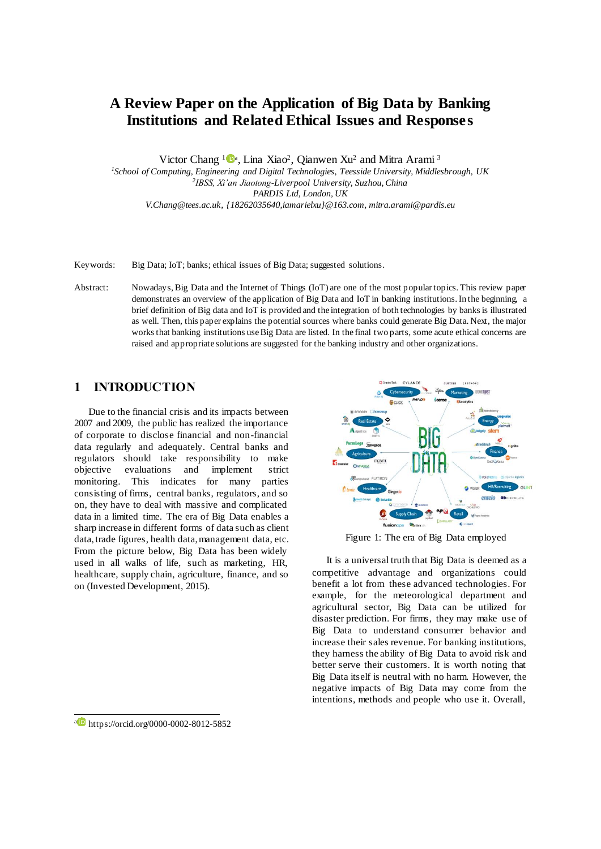# **A Review Paper on the Application of Big Data by Banking Institutions and Related Ethical Issues and Responses**

Victor Chang  $1\bullet$ <sup>a</sup>, Lina Xiao<sup>2</sup>, Qianwen Xu<sup>2</sup> and Mitra Arami<sup>3</sup>

*1 School of Computing, Engineering and Digital Technologies, Teesside University, Middlesbrough, UK 2 IBSS, Xi'an Jiaotong-Liverpool University, Suzhou, China PARDIS Ltd, London, UK V.Chang@tees.ac.uk, {18262035640,iamarielxu}@163.com, mitra.arami@pardis.eu*

Keywords: Big Data; IoT; banks; ethical issues of Big Data; suggested solutions.

Abstract: Nowadays, Big Data and the Internet of Things (IoT) are one of the most popular topics. This review paper demonstrates an overview of the application of Big Data and IoT in banking institutions. In the beginning, a brief definition of Big data and IoT is provided and the integration of both technologies by banks is illustrated as well. Then, this paper explains the potential sources where banks could generate Big Data. Next, the major works that banking institutions use Big Data are listed. In the final two parts, some acute ethical concerns are raised and appropriate solutions are suggested for the banking industry and other organizations.

## **1 INTRODUCTION**

Due to the financial crisis and its impacts between 2007 and 2009, the public has realized the importance of corporate to disclose financial and non-financial data regularly and adequately. Central banks and regulators should take responsibility to make objective evaluations and implement strict monitoring. This indicates for many parties consisting of firms, central banks, regulators, and so on, they have to deal with massive and complicated data in a limited time. The era of Big Data enables a sharp increase in different forms of data such as client data, trade figures, health data, management data, etc. From the picture below, Big Data has been widely used in all walks of life, such as marketing, HR, healthcare, supply chain, agriculture, finance, and so on (Invested Development, 2015).



Figure 1: The era of Big Data employed

It is a universal truth that Big Data is deemed as a competitive advantage and organizations could benefit a lot from these advanced technologies. For example, for the meteorological department and agricultural sector, Big Data can be utilized for disaster prediction. For firms, they may make use of Big Data to understand consumer behavior and increase their sales revenue. For banking institutions, they harness the ability of Big Data to avoid risk and better serve their customers. It is worth noting that Big Data itself is neutral with no harm. However, the negative impacts of Big Data may come from the intentions, methods and people who use it. Overall,

a https://orcid.org/0000-0002-8012-5852

j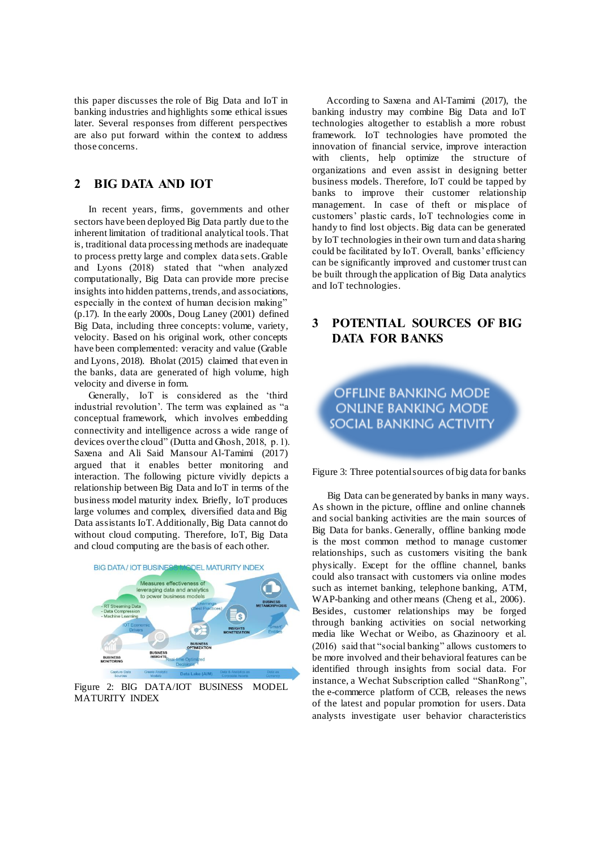this paper discusses the role of Big Data and IoT in banking industries and highlights some ethical issues later. Several responses from different perspectives are also put forward within the context to address those concerns.

## **2 BIG DATA AND IOT**

In recent years, firms, governments and other sectors have been deployed Big Data partly due to the inherent limitation of traditional analytical tools. That is, traditional data processing methods are inadequate to process pretty large and complex data sets. Grable and Lyons (2018) stated that "when analyzed computationally, Big Data can provide more precise insights into hidden patterns, trends, and associations, especially in the context of human decision making" (p.17). In the early 2000s, Doug Laney (2001) defined Big Data, including three concepts: volume, variety, velocity. Based on his original work, other concepts have been complemented: veracity and value (Grable and Lyons, 2018). Bholat (2015) claimed that even in the banks, data are generated of high volume, high velocity and diverse in form.

Generally, IoT is considered as the 'third industrial revolution'. The term was explained as "a conceptual framework, which involves embedding connectivity and intelligence across a wide range of devices over the cloud" (Dutta and Ghosh, 2018, p. 1). Saxena and Ali Said Mansour Al-Tamimi (2017) argued that it enables better monitoring and interaction. The following picture vividly depicts a relationship between Big Data and IoT in terms of the business model maturity index. Briefly, IoT produces large volumes and complex, diversified data and Big Data assistants IoT. Additionally, Big Data cannot do without cloud computing. Therefore, IoT, Big Data and cloud computing are the basis of each other.



Figure 2: BIG DATA/IOT BUSINESS MODEL MATURITY INDEX

According to Saxena and Al-Tamimi (2017), the banking industry may combine Big Data and IoT technologies altogether to establish a more robust framework. IoT technologies have promoted the innovation of financial service, improve interaction with clients, help optimize the structure of organizations and even assist in designing better business models. Therefore, IoT could be tapped by banks to improve their customer relationship management. In case of theft or misplace of customers' plastic cards, IoT technologies come in handy to find lost objects. Big data can be generated by IoT technologies in their own turn and data sharing could be facilitated by IoT. Overall, banks' efficiency can be significantly improved and customer trust can be built through the application of Big Data analytics and IoT technologies.

## **3 POTENTIAL SOURCES OF BIG DATA FOR BANKS**

**OFFLINE BANKING MODE ONLINE BANKING MODE** SOCIAL BANKING ACTIVITY

Figure 3: Three potential sources of big data for banks

Big Data can be generated by banks in many ways. As shown in the picture, offline and online channels and social banking activities are the main sources of Big Data for banks. Generally, offline banking mode is the most common method to manage customer relationships, such as customers visiting the bank physically. Except for the offline channel, banks could also transact with customers via online modes such as internet banking, telephone banking, ATM, WAP-banking and other means (Cheng et al., 2006). Besides, customer relationships may be forged through banking activities on social networking media like Wechat or Weibo, as Ghazinoory et al. (2016) said that "social banking" allows customers to be more involved and their behavioral features can be identified through insights from social data. For instance, a Wechat Subscription called "ShanRong", the e-commerce platform of CCB, releases the news of the latest and popular promotion for users. Data analysts investigate user behavior characteristics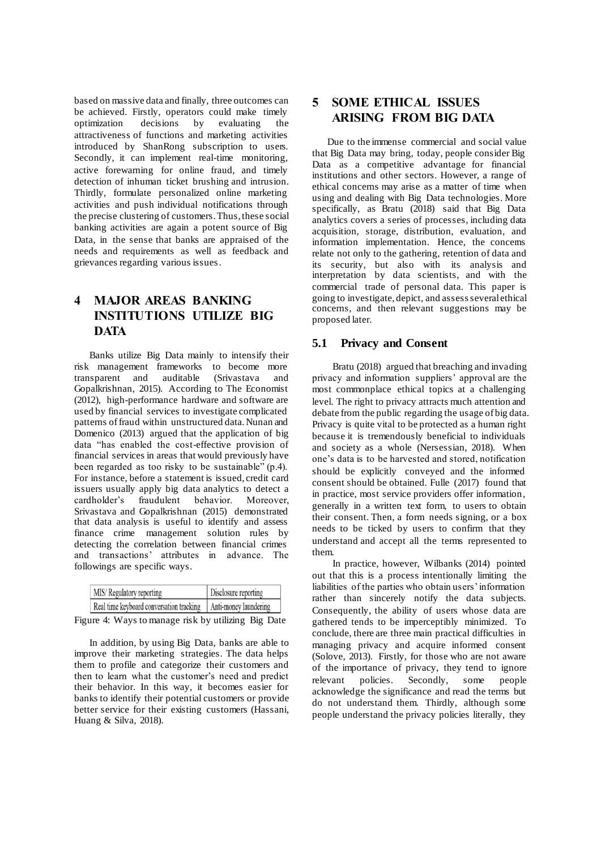based on massive data and finally, three outcomes can be achieved. Firstly, operators could make timely optimization decisions by evaluating the attractiveness of functions and marketing activities introduced by ShanRong subscription to users. Secondly, it can implement real-time monitoring, active forewarning for online fraud, and timely detection of inhuman ticket brushing and intrusion. Thirdly, formulate personalized online marketing activities and push individual notifications through the precise clustering of customers. Thus, these social banking activities are again a potent source of Big Data, in the sense that banks are appraised of the needs and requirements as well as feedback and grievances regarding various issues.

## **4 MAJOR AREAS BANKING INSTITUTIONS UTILIZE BIG DATA**

Banks utilize Big Data mainly to intensify their risk management frameworks to become more transparent and auditable (Srivastava and Gopalkrishnan, 2015). According to The Economist (2012), high-performance hardware and software are used by financial services to investigate complicated patterns of fraud within unstructured data. Nunan and Domenico (2013) argued that the application of big data "has enabled the cost-effective provision of financial services in areas that would previously have been regarded as too risky to be sustainable" (p.4). For instance, before a statement is issued, credit card issuers usually apply big data analytics to detect a cardholder's fraudulent behavior. Moreover, Srivastava and Gopalkrishnan (2015) demonstrated that data analysis is useful to identify and assess finance crime management solution rules by detecting the correlation between financial crimes and transactions' attributes in advance. The followings are specific ways.

| MIS/Regulatory reporting                                         | Disclosure reporting |
|------------------------------------------------------------------|----------------------|
| Real time keyboard conversation tracking   Anti-money laundering |                      |

Figure 4: Ways to manage risk by utilizing Big Date

In addition, by using Big Data, banks are able to improve their marketing strategies. The data helps them to profile and categorize their customers and then to learn what the customer's need and predict their behavior. In this way, it becomes easier for banks to identify their potential customers or provide better service for their existing customers (Hassani, Huang & Silva, 2018).

## **5 SOME ETHICAL ISSUES ARISING FROM BIG DATA**

Due to the immense commercial and social value that Big Data may bring, today, people consider Big Data as a competitive advantage for financial institutions and other sectors. However, a range of ethical concerns may arise as a matter of time when using and dealing with Big Data technologies. More specifically, as Bratu (2018) said that Big Data analytics covers a series of processes, including data acquisition, storage, distribution, evaluation, and information implementation. Hence, the concerns relate not only to the gathering, retention of data and its security, but also with its analysis and interpretation by data scientists, and with the commercial trade of personal data. This paper is going to investigate, depict, and assess several ethical concerns, and then relevant suggestions may be proposed later.

#### **5.1 Privacy and Consent**

Bratu (2018) argued that breaching and invading privacy and information suppliers' approval are the most commonplace ethical topics at a challenging level. The right to privacy attracts much attention and debate from the public regarding the usage of big data. Privacy is quite vital to be protected as a human right because it is tremendously beneficial to individuals and society as a whole (Nersessian, 2018). When one's data is to be harvested and stored, notification should be explicitly conveyed and the informed consent should be obtained. Fulle (2017) found that in practice, most service providers offer information, generally in a written text form, to users to obtain their consent. Then, a form needs signing, or a box needs to be ticked by users to confirm that they understand and accept all the terms represented to them.

In practice, however, Wilbanks (2014) pointed out that this is a process intentionally limiting the liabilities of the parties who obtain users' information rather than sincerely notify the data subjects. Consequently, the ability of users whose data are gathered tends to be imperceptibly minimized. To conclude, there are three main practical difficulties in managing privacy and acquire informed consent (Solove, 2013). Firstly, for those who are not aware of the importance of privacy, they tend to ignore relevant policies. Secondly, some people acknowledge the significance and read the terms but do not understand them. Thirdly, although some people understand the privacy policies literally, they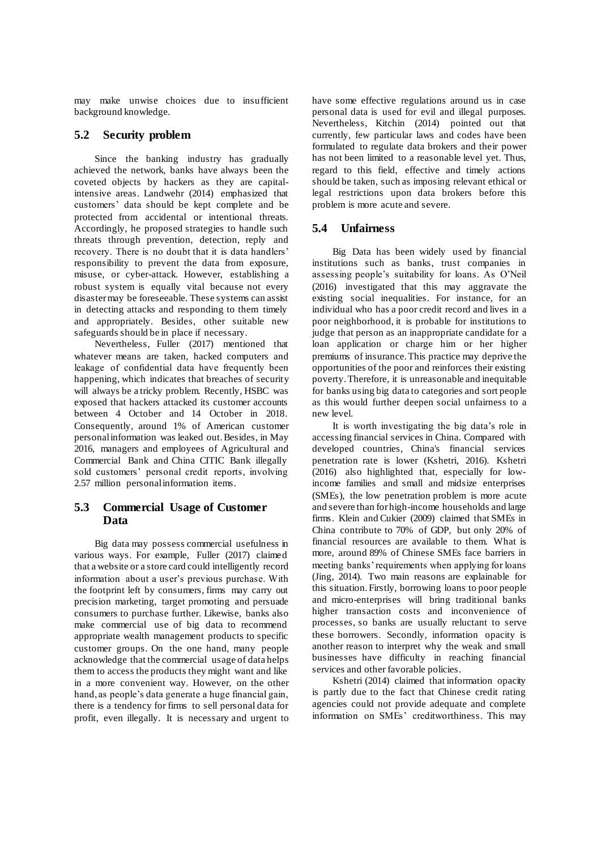may make unwise choices due to insufficient background knowledge.

#### **5.2 Security problem**

Since the banking industry has gradually achieved the network, banks have always been the coveted objects by hackers as they are capitalintensive areas. Landwehr (2014) emphasized that customers' data should be kept complete and be protected from accidental or intentional threats. Accordingly, he proposed strategies to handle such threats through prevention, detection, reply and recovery. There is no doubt that it is data handlers' responsibility to prevent the data from exposure, misuse, or cyber-attack. However, establishing a robust system is equally vital because not every disaster may be foreseeable. These systems can assist in detecting attacks and responding to them timely and appropriately. Besides, other suitable new safeguards should be in place if necessary.

Nevertheless, Fuller (2017) mentioned that whatever means are taken, hacked computers and leakage of confidential data have frequently been happening, which indicates that breaches of security will always be a tricky problem. Recently, HSBC was exposed that hackers attacked its customer accounts between 4 October and 14 October in 2018. Consequently, around 1% of American customer personal information was leaked out. Besides, in May 2016, managers and employees of Agricultural and Commercial Bank and China CITIC Bank illegally sold customers' personal credit reports, involving 2.57 million personal information items.

#### **5.3 Commercial Usage of Customer Data**

Big data may possess commercial usefulness in various ways. For example, Fuller (2017) claimed that a website or a store card could intelligently record information about a user's previous purchase. With the footprint left by consumers, firms may carry out precision marketing, target promoting and persuade consumers to purchase further. Likewise, banks also make commercial use of big data to recommend appropriate wealth management products to specific customer groups. On the one hand, many people acknowledge that the commercial usage of data helps them to access the products they might want and like in a more convenient way. However, on the other hand, as people's data generate a huge financial gain, there is a tendency for firms to sell personal data for profit, even illegally. It is necessary and urgent to have some effective regulations around us in case personal data is used for evil and illegal purposes. Nevertheless, Kitchin (2014) pointed out that currently, few particular laws and codes have been formulated to regulate data brokers and their power has not been limited to a reasonable level yet. Thus, regard to this field, effective and timely actions should be taken, such as imposing relevant ethical or legal restrictions upon data brokers before this problem is more acute and severe.

#### **5.4 Unfairness**

Big Data has been widely used by financial institutions such as banks, trust companies in assessing people's suitability for loans. As O'Neil (2016) investigated that this may aggravate the existing social inequalities. For instance, for an individual who has a poor credit record and lives in a poor neighborhood, it is probable for institutions to judge that person as an inappropriate candidate for a loan application or charge him or her higher premiums of insurance. This practice may deprive the opportunities of the poor and reinforces their existing poverty. Therefore, it is unreasonable and inequitable for banks using big data to categories and sort people as this would further deepen social unfairness to a new level.

It is worth investigating the big data's role in accessing financial services in China. Compared with developed countries, China's financial services penetration rate is lower (Kshetri, 2016). Kshetri (2016) also highlighted that, especially for lowincome families and small and midsize enterprises (SMEs), the low penetration problem is more acute and severe than for high-income households and large firms. Klein and Cukier (2009) claimed that SMEs in China contribute to 70% of GDP, but only 20% of financial resources are available to them. What is more, around 89% of Chinese SMEs face barriers in meeting banks' requirements when applying for loans (Jing, 2014). Two main reasons are explainable for this situation. Firstly, borrowing loans to poor people and micro-enterprises will bring traditional banks higher transaction costs and inconvenience of processes, so banks are usually reluctant to serve these borrowers. Secondly, information opacity is another reason to interpret why the weak and small businesses have difficulty in reaching financial services and other favorable policies.

Kshetri (2014) claimed that information opacity is partly due to the fact that Chinese credit rating agencies could not provide adequate and complete information on SMEs' creditworthiness. This may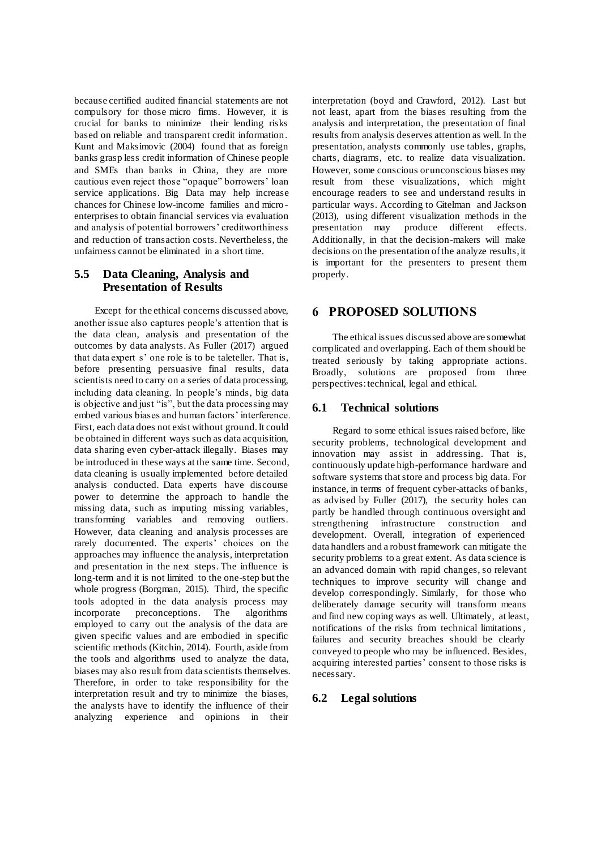because certified audited financial statements are not compulsory for those micro firms. However, it is crucial for banks to minimize their lending risks based on reliable and transparent credit information. Kunt and Maksimovic (2004) found that as foreign banks grasp less credit information of Chinese people and SMEs than banks in China, they are more cautious even reject those "opaque" borrowers' loan service applications. Big Data may help increase chances for Chinese low-income families and micro enterprises to obtain financial services via evaluation and analysis of potential borrowers' creditworthiness and reduction of transaction costs. Nevertheless, the unfairness cannot be eliminated in a short time.

### **5.5 Data Cleaning, Analysis and Presentation of Results**

Except for the ethical concerns discussed above, another issue also captures people's attention that is the data clean, analysis and presentation of the outcomes by data analysts. As Fuller (2017) argued that data expert s' one role is to be taleteller. That is, before presenting persuasive final results, data scientists need to carry on a series of data processing, including data cleaning. In people's minds, big data is objective and just "is", but the data processing may embed various biases and human factors' interference. First, each data does not exist without ground. It could be obtained in different ways such as data acquisition, data sharing even cyber-attack illegally. Biases may be introduced in these ways at the same time. Second, data cleaning is usually implemented before detailed analysis conducted. Data experts have discourse power to determine the approach to handle the missing data, such as imputing missing variables, transforming variables and removing outliers. However, data cleaning and analysis processes are rarely documented. The experts' choices on the approaches may influence the analysis, interpretation and presentation in the next steps. The influence is long-term and it is not limited to the one-step but the whole progress (Borgman, 2015). Third, the specific tools adopted in the data analysis process may incorporate preconceptions. The algorithms employed to carry out the analysis of the data are given specific values and are embodied in specific scientific methods (Kitchin, 2014). Fourth, aside from the tools and algorithms used to analyze the data, biases may also result from data scientists themselves. Therefore, in order to take responsibility for the interpretation result and try to minimize the biases, the analysts have to identify the influence of their analyzing experience and opinions in their

interpretation (boyd and Crawford, 2012). Last but not least, apart from the biases resulting from the analysis and interpretation, the presentation of final results from analysis deserves attention as well. In the presentation, analysts commonly use tables, graphs, charts, diagrams, etc. to realize data visualization. However, some conscious or unconscious biases may result from these visualizations, which might encourage readers to see and understand results in particular ways. According to Gitelman and Jackson (2013), using different visualization methods in the presentation may produce different effects. produce different Additionally, in that the decision-makers will make decisions on the presentation of the analyze results, it is important for the presenters to present them properly.

## **6 PROPOSED SOLUTIONS**

The ethical issues discussed above are somewhat complicated and overlapping. Each of them should be treated seriously by taking appropriate actions. Broadly, solutions are proposed from three perspectives: technical, legal and ethical.

#### **6.1 Technical solutions**

Regard to some ethical issues raised before, like security problems, technological development and innovation may assist in addressing. That is, continuously update high-performance hardware and software systems that store and process big data. For instance, in terms of frequent cyber-attacks of banks, as advised by Fuller (2017), the security holes can partly be handled through continuous oversight and strengthening infrastructure construction and development. Overall, integration of experienced data handlers and a robust framework can mitigate the security problems to a great extent. As data science is an advanced domain with rapid changes, so relevant techniques to improve security will change and develop correspondingly. Similarly, for those who deliberately damage security will transform means and find new coping ways as well. Ultimately, at least, notifications of the risks from technical limitations , failures and security breaches should be clearly conveyed to people who may be influenced. Besides, acquiring interested parties' consent to those risks is necessary.

#### **6.2 Legal solutions**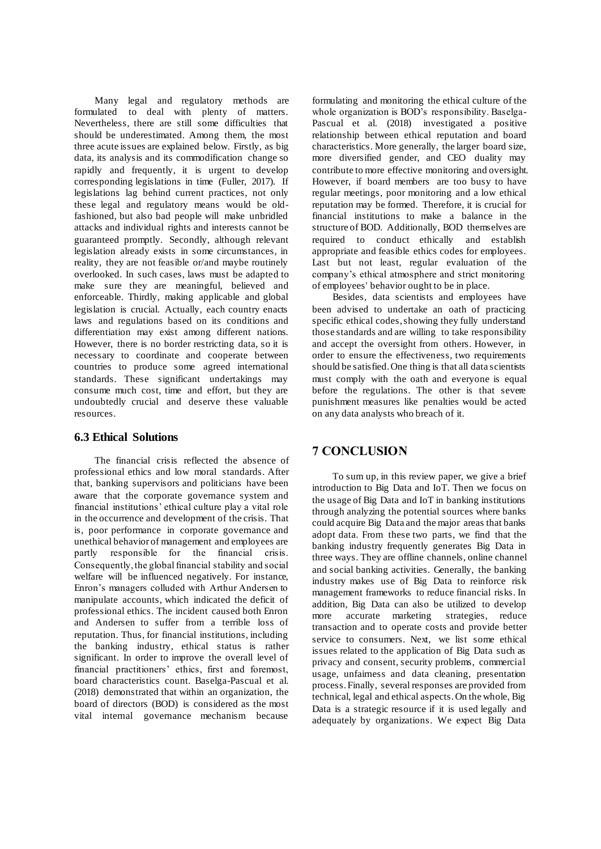Many legal and regulatory methods are formulated to deal with plenty of matters. Nevertheless, there are still some difficulties that should be underestimated. Among them, the most three acute issues are explained below. Firstly, as big data, its analysis and its commodification change so rapidly and frequently, it is urgent to develop corresponding legislations in time (Fuller, 2017). If legislations lag behind current practices, not only these legal and regulatory means would be oldfashioned, but also bad people will make unbridled attacks and individual rights and interests cannot be guaranteed promptly. Secondly, although relevant legislation already exists in some circumstances, in reality, they are not feasible or/and maybe routinely overlooked. In such cases, laws must be adapted to make sure they are meaningful, believed and enforceable. Thirdly, making applicable and global legislation is crucial. Actually, each country enacts laws and regulations based on its conditions and differentiation may exist among different nations. However, there is no border restricting data, so it is necessary to coordinate and cooperate between countries to produce some agreed international standards. These significant undertakings may consume much cost, time and effort, but they are undoubtedly crucial and deserve these valuable resources.

### **6.3 Ethical Solutions**

The financial crisis reflected the absence of professional ethics and low moral standards. After that, banking supervisors and politicians have been aware that the corporate governance system and financial institutions' ethical culture play a vital role in the occurrence and development of the crisis. That is, poor performance in corporate governance and unethical behavior of management and employees are partly responsible for the financial crisis. Consequently, the global financial stability and social welfare will be influenced negatively. For instance, Enron's managers colluded with Arthur Andersen to manipulate accounts, which indicated the deficit of professional ethics. The incident caused both Enron and Andersen to suffer from a terrible loss of reputation. Thus, for financial institutions, including the banking industry, ethical status is rather significant. In order to improve the overall level of financial practitioners' ethics, first and foremost, board characteristics count. Baselga-Pascual et al. (2018) demonstrated that within an organization, the board of directors (BOD) is considered as the most vital internal governance mechanism because

formulating and monitoring the ethical culture of the whole organization is BOD's responsibility. Baselga-Pascual et al. (2018) investigated a positive relationship between ethical reputation and board characteristics. More generally, the larger board size, more diversified gender, and CEO duality may contribute to more effective monitoring and oversight. However, if board members are too busy to have regular meetings, poor monitoring and a low ethical reputation may be formed. Therefore, it is crucial for financial institutions to make a balance in the structure of BOD. Additionally, BOD themselves are required to conduct ethically and establish appropriate and feasible ethics codes for employees. Last but not least, regular evaluation of the company's ethical atmosphere and strict monitoring of employees' behavior ought to be in place.

Besides, data scientists and employees have been advised to undertake an oath of practicing specific ethical codes, showing they fully understand those standards and are willing to take responsibility and accept the oversight from others. However, in order to ensure the effectiveness, two requirements should be satisfied. One thing is that all data scientists must comply with the oath and everyone is equal before the regulations. The other is that severe punishment measures like penalties would be acted on any data analysts who breach of it.

### **7 CONCLUSION**

To sum up, in this review paper, we give a brief introduction to Big Data and IoT. Then we focus on the usage of Big Data and IoT in banking institutions through analyzing the potential sources where banks could acquire Big Data and the major areas that banks adopt data. From these two parts, we find that the banking industry frequently generates Big Data in three ways. They are offline channels, online channel and social banking activities. Generally, the banking industry makes use of Big Data to reinforce risk management frameworks to reduce financial risks. In addition, Big Data can also be utilized to develop more accurate marketing strategies, reduce transaction and to operate costs and provide better service to consumers. Next, we list some ethical issues related to the application of Big Data such as privacy and consent, security problems, commercial usage, unfairness and data cleaning, presentation process. Finally, several responses are provided from technical, legal and ethical aspects. On the whole, Big Data is a strategic resource if it is used legally and adequately by organizations. We expect Big Data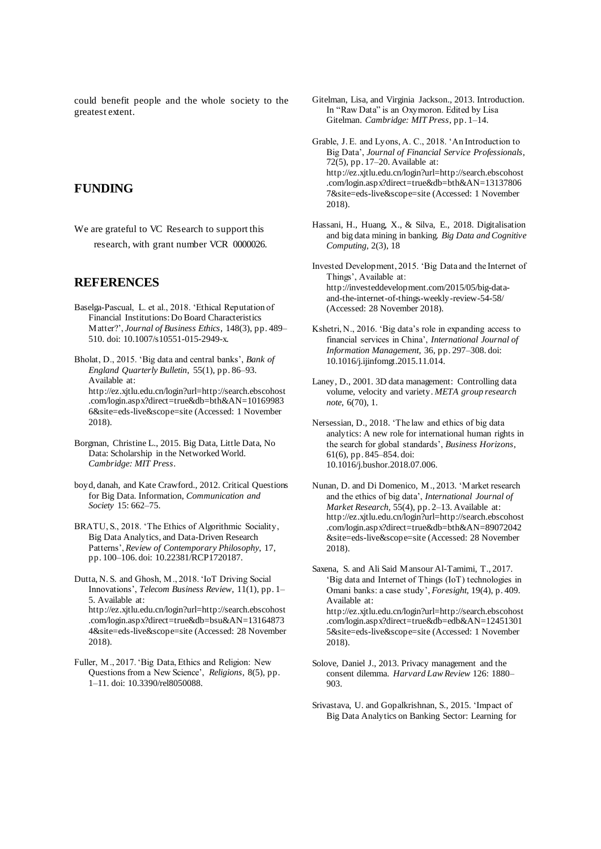could benefit people and the whole society to the greatest extent.

## **FUNDING**

We are grateful to VC Research to support this research, with grant number VCR 0000026.

#### **REFERENCES**

Baselga-Pascual, L. et al., 2018. 'Ethical Reputation of Financial Institutions: Do Board Characteristics Matter?', *Journal of Business Ethics*, 148(3), pp. 489– 510. doi: 10.1007/s10551-015-2949-x.

Bholat, D., 2015. 'Big data and central banks', *Bank of England Quarterly Bulletin*, 55(1), pp. 86–93. Available at: http://ez.xjtlu.edu.cn/login?url=http://search.ebscohost .com/login.aspx?direct=true&db=bth&AN=10169983 6&site=eds-live&scope=site (Accessed: 1 November 2018).

- Borgman, Christine L., 2015. Big Data, Little Data, No Data: Scholarship in the Networked World. *Cambridge: MIT Press*.
- boyd, danah, and Kate Crawford., 2012. Critical Questions for Big Data. Information, *Communication and Society* 15: 662–75.
- BRATU, S., 2018. 'The Ethics of Algorithmic Sociality, Big Data Analytics, and Data-Driven Research Patterns', *Review of Contemporary Philosophy*, 17, pp. 100–106. doi: 10.22381/RCP1720187.

Dutta, N. S. and Ghosh, M., 2018. 'IoT Driving Social Innovations', *Telecom Business Review*, 11(1), pp. 1– 5. Available at: http://ez.xjtlu.edu.cn/login?url=http://search.ebscohost .com/login.aspx?direct=true&db=bsu&AN=13164873 4&site=eds-live&scope=site (Accessed: 28 November 2018).

Fuller, M., 2017. 'Big Data, Ethics and Religion: New Questions from a New Science', *Religions*, 8(5), pp. 1–11. doi: 10.3390/rel8050088.

- Gitelman, Lisa, and Virginia Jackson., 2013. Introduction. In "Raw Data" is an Oxymoron. Edited by Lisa Gitelman. *Cambridge: MIT Press*, pp. 1–14.
- Grable, J. E. and Lyons, A. C., 2018. 'An Introduction to Big Data', *Journal of Financial Service Professionals*, 72(5), pp. 17–20. Available at: http://ez.xjtlu.edu.cn/login?url=http://search.ebscohost .com/login.aspx?direct=true&db=bth&AN=13137806 7&site=eds-live&scope=site (Accessed: 1 November 2018).
- Hassani, H., Huang, X., & Silva, E., 2018. Digitalisation and big data mining in banking. *Big Data and Cognitive Computing,* 2(3), 18
- Invested Development, 2015. 'Big Data and the Internet of Things', Available at: http://investeddevelopment.com/2015/05/big-dataand-the-internet-of-things-weekly-review-54-58/ (Accessed: 28 November 2018).
- Kshetri, N., 2016. 'Big data's role in expanding access to financial services in China', *International Journal of Information Management*, 36, pp. 297–308. doi: 10.1016/j.ijinfomgt.2015.11.014.
- Laney, D., 2001. 3D data management: Controlling data volume, velocity and variety. *META group research note*, 6(70), 1.
- Nersessian, D., 2018. 'The law and ethics of big data analytics: A new role for international human rights in the search for global standards', *Business Horizons*, 61(6), pp. 845–854. doi: 10.1016/j.bushor.2018.07.006.
- Nunan, D. and Di Domenico, M., 2013. 'Market research and the ethics of big data', *International Journal of Market Research,* 55(4), pp. 2–13. Available at: http://ez.xjtlu.edu.cn/login?url=http://search.ebscohost .com/login.aspx?direct=true&db=bth&AN=89072042 &site=eds-live&scope=site (Accessed: 28 November 2018).

Saxena, S. and Ali Said Mansour Al-Tamimi, T., 2017. 'Big data and Internet of Things (IoT) technologies in Omani banks: a case study', *Foresight*, 19(4), p. 409. Available at: http://ez.xjtlu.edu.cn/login?url=http://search.ebscohost .com/login.aspx?direct=true&db=edb&AN=12451301 5&site=eds-live&scope=site (Accessed: 1 November 2018).

- Solove, Daniel J., 2013. Privacy management and the consent dilemma. *Harvard Law Review* 126: 1880– 903.
- Srivastava, U. and Gopalkrishnan, S., 2015. 'Impact of Big Data Analytics on Banking Sector: Learning for